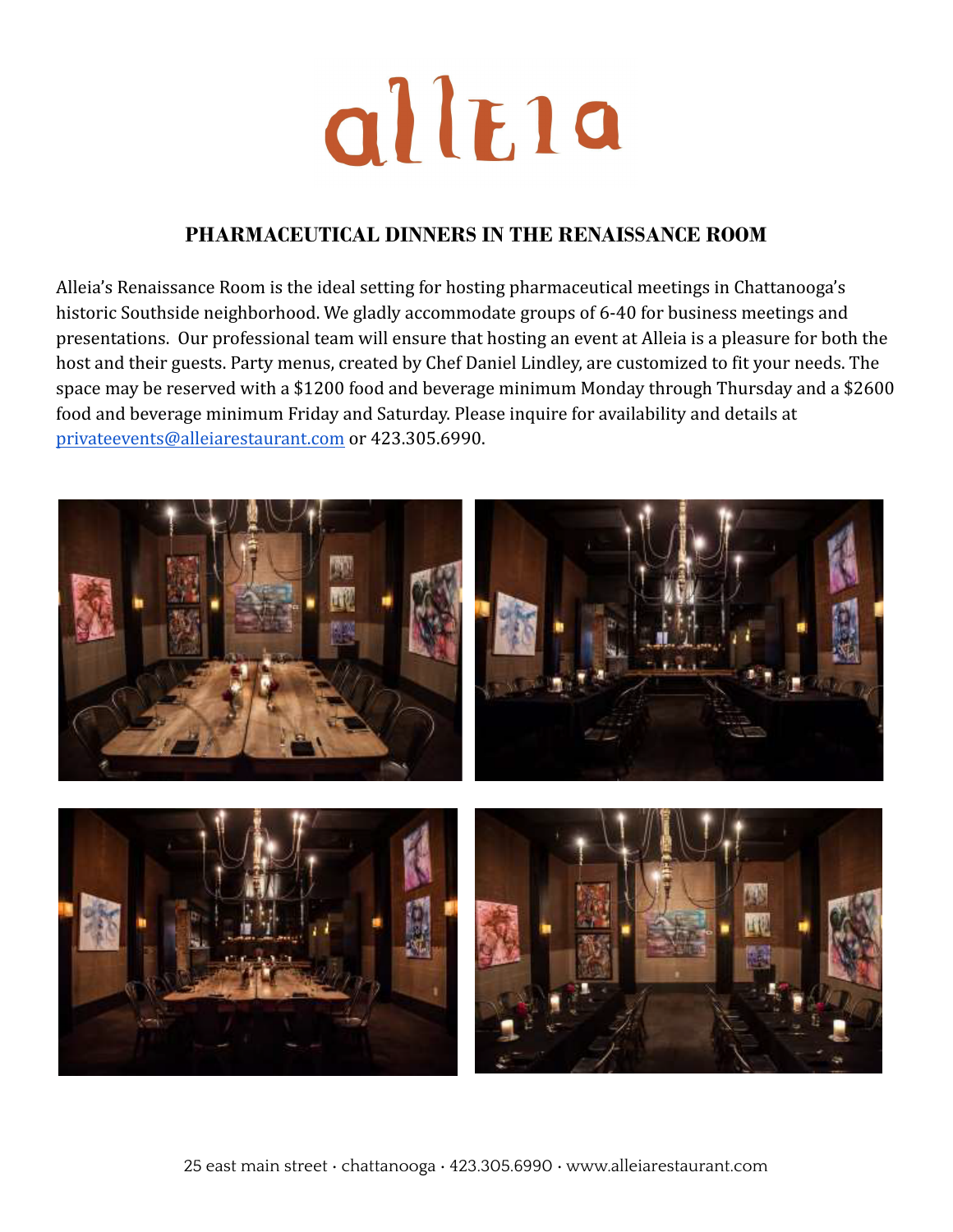

### **PHARMACEUTICAL DINNERS IN THE RENAISSANCE ROOM**

Alleia's Renaissance Room is the ideal setting for hosting pharmaceutical meetings in Chattanooga's historic Southside neighborhood. We gladly accommodate groups of 6-40 for business meetings and presentations. Our professional team will ensure that hosting an event at Alleia is a pleasure for both the host and their guests. Party menus, created by Chef Daniel Lindley, are customized to fit your needs. The space may be reserved with a \$1200 food and beverage minimum Monday through Thursday and a \$2600 food and beverage minimum Friday and Saturday. Please inquire for availability and details at [privateevents@alleiarestaurant.com](mailto:privateevents@alleiarestaurant.com) or 423.305.6990.

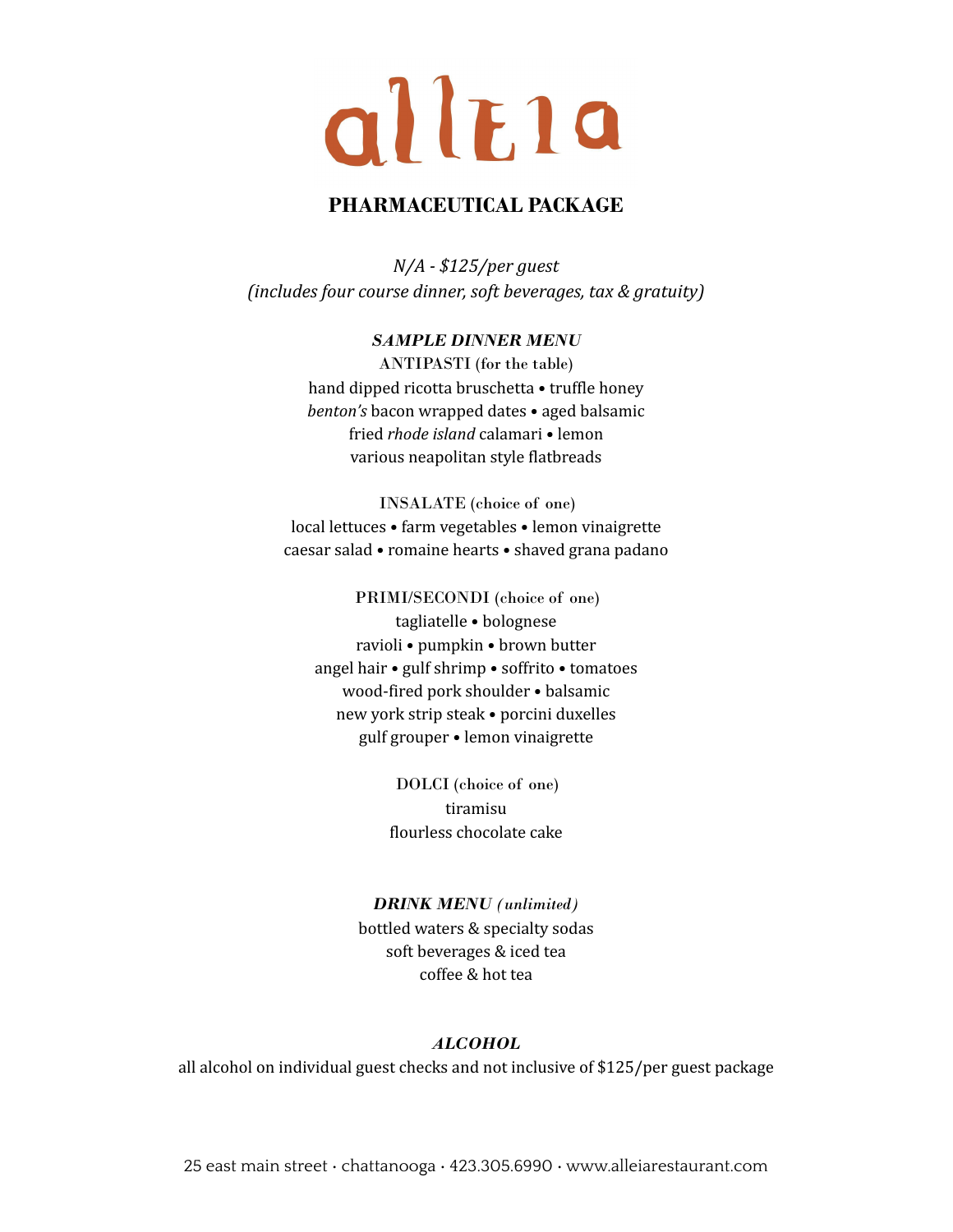## allEla

#### **PHARMACEUTICAL PACKAGE**

*N/A - \$125/per guest (includes four course dinner, soft beverages, tax & gratuity)*

#### *SAMPLE DINNER MENU*

ANTIPASTI (for the table) hand dipped ricotta bruschetta • truffle honey *benton's* bacon wrapped dates • aged balsamic fried *rhode island* calamari • lemon various neapolitan style flatbreads

INSALATE (choice of one) local lettuces • farm vegetables • lemon vinaigrette caesar salad • romaine hearts • shaved grana padano

PRIMI/SECONDI (choice of one) tagliatelle • bolognese ravioli • pumpkin • brown butter angel hair • gulf shrimp • soffrito • tomatoes wood-fired pork shoulder • balsamic new york strip steak • porcini duxelles gulf grouper • lemon vinaigrette

> DOLCI (choice of one) tiramisu flourless chocolate cake

#### *DRINK MENU (unlimited)*

bottled waters & specialty sodas soft beverages & iced tea coffee & hot tea

#### *ALCOHOL*

all alcohol on individual guest checks and not inclusive of \$125/per guest package